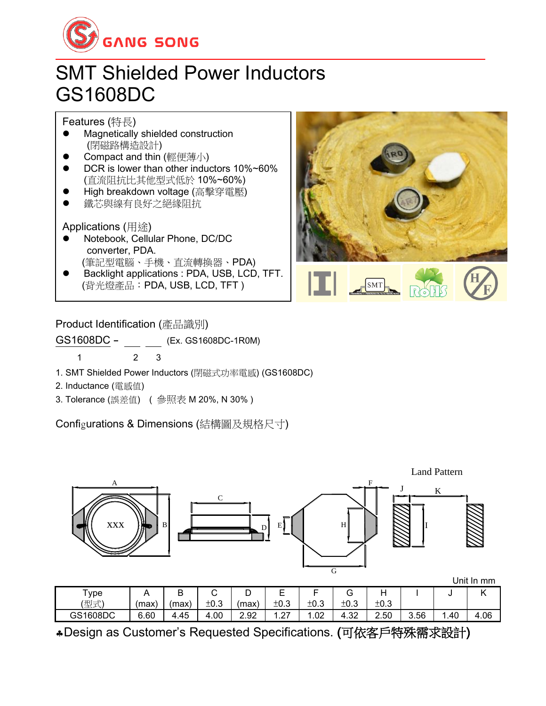

## SMT Shielded Power Inductors GS1608DC

Features (特長)

- ⚫ Magnetically shielded construction (閉磁路構造設計)
- Compact and thin (輕便薄小)
- ⚫ DCR is lower than other inductors 10%~60% (直流阻抗比其他型式低於 10%~60%)
- ⚫ High breakdown voltage (高擊穿電壓)
- ⚫ 鐵芯與線有良好之絕緣阻抗

Applications (用途)

- ⚫ Notebook, Cellular Phone, DC/DC converter, PDA. (筆記型電腦、手機、直流轉換器、PDA)
- ⚫ Backlight applications : PDA, USB, LCD, TFT. (背光燈產品:PDA, USB, LCD, TFT )



## Product Identification (產品識別)

GS1608DC - (Ex. GS1608DC-1R0M)

1 2 3

- 1. SMT Shielded Power Inductors (閉磁式功率電感) (GS1608DC)
- 2. Inductance (電感值)
- 3. Tolerance (誤差值) ( 參照表 M 20%, N 30% )

Configurations & Dimensions (結構圖及規格尺寸)



Design as Customer's Requested Specifications. (可依客戶特殊需求設計)